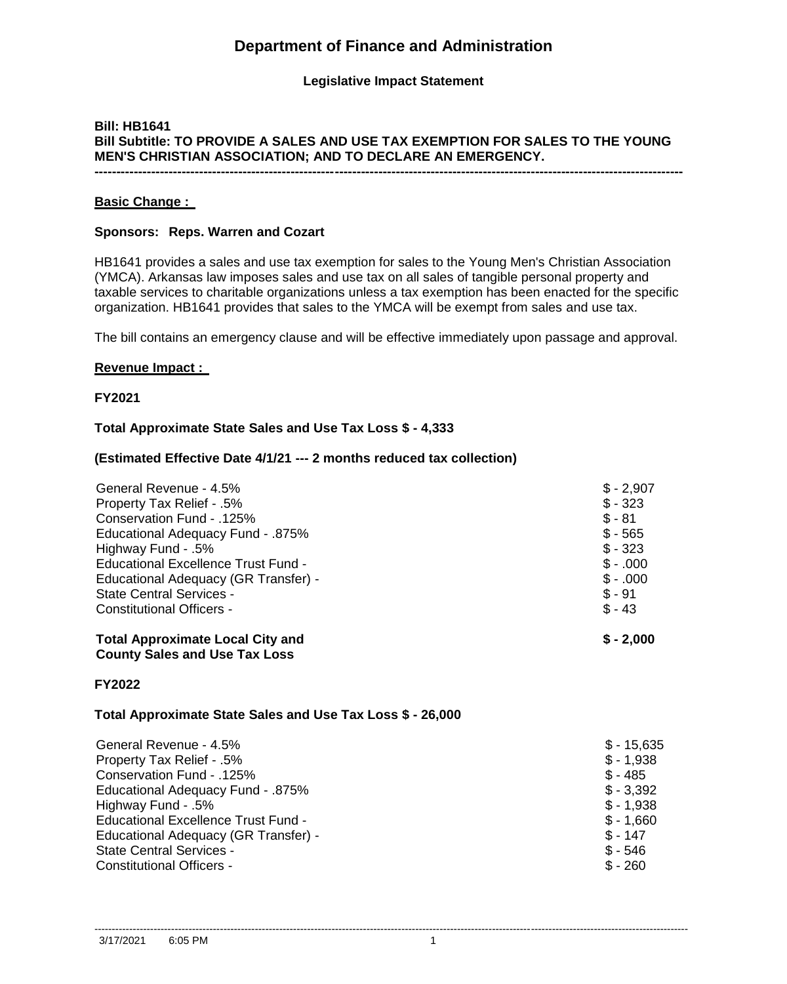# **Department of Finance and Administration**

# **Legislative Impact Statement**

# **Bill: HB1641 Bill Subtitle: TO PROVIDE A SALES AND USE TAX EXEMPTION FOR SALES TO THE YOUNG MEN'S CHRISTIAN ASSOCIATION; AND TO DECLARE AN EMERGENCY. ---------------------------------------------------------------------------------------------------------------------------------------**

### **Basic Change :**

### **Sponsors: Reps. Warren and Cozart**

HB1641 provides a sales and use tax exemption for sales to the Young Men's Christian Association (YMCA). Arkansas law imposes sales and use tax on all sales of tangible personal property and taxable services to charitable organizations unless a tax exemption has been enacted for the specific organization. HB1641 provides that sales to the YMCA will be exempt from sales and use tax.

The bill contains an emergency clause and will be effective immediately upon passage and approval.

#### **Revenue Impact :**

**FY2021**

### **Total Approximate State Sales and Use Tax Loss \$ - 4,333**

### **(Estimated Effective Date 4/1/21 --- 2 months reduced tax collection)**

| Educational Excellence Trust Fund -     | $$-.000$    |
|-----------------------------------------|-------------|
| Educational Adequacy (GR Transfer) -    | $$-.000$    |
| <b>State Central Services -</b>         | $$ -91$     |
| <b>Constitutional Officers -</b>        | $$ -43$     |
| <b>Total Approximate Local City and</b> | $S - 2.000$ |

**County Sales and Use Tax Loss**

### **FY2022**

### **Total Approximate State Sales and Use Tax Loss \$ - 26,000**

| $$ -15.635$ |
|-------------|
| $$ - 1.938$ |
| $$ -485$    |
| $$ -3,392$  |
| $$ - 1.938$ |
| $$ -1.660$  |
| $$ - 147$   |
| $$ -546$    |
| $$ -260$    |
|             |